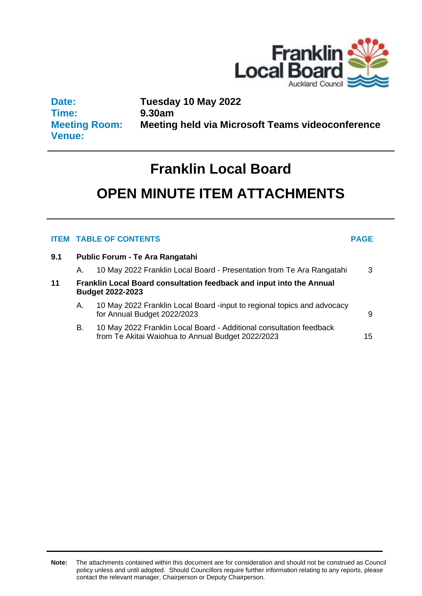

**Date: Time: Meeting Room: Venue:**

**Tuesday 10 May 2022 9.30am Meeting held via Microsoft Teams videoconference**

# **Franklin Local Board**

# **OPEN MINUTE ITEM ATTACHMENTS**

## **ITEM TABLE OF CONTENTS PAGE**

**9.1 Public Forum - Te Ara Rangatahi**

|    | A.                                                                                              | 10 May 2022 Franklin Local Board - Presentation from Te Ara Rangatahi                                                    | 3  |  |  |  |  |  |
|----|-------------------------------------------------------------------------------------------------|--------------------------------------------------------------------------------------------------------------------------|----|--|--|--|--|--|
| 11 | Franklin Local Board consultation feedback and input into the Annual<br><b>Budget 2022-2023</b> |                                                                                                                          |    |  |  |  |  |  |
|    | А.                                                                                              | 10 May 2022 Franklin Local Board -input to regional topics and advocacy<br>for Annual Budget 2022/2023                   | 9  |  |  |  |  |  |
|    | В.                                                                                              | 10 May 2022 Franklin Local Board - Additional consultation feedback<br>from Te Akitai Waiohua to Annual Budget 2022/2023 | 15 |  |  |  |  |  |

**Note:** The attachments contained within this document are for consideration and should not be construed as Council policy unless and until adopted. Should Councillors require further information relating to any reports, please contact the relevant manager, Chairperson or Deputy Chairperson.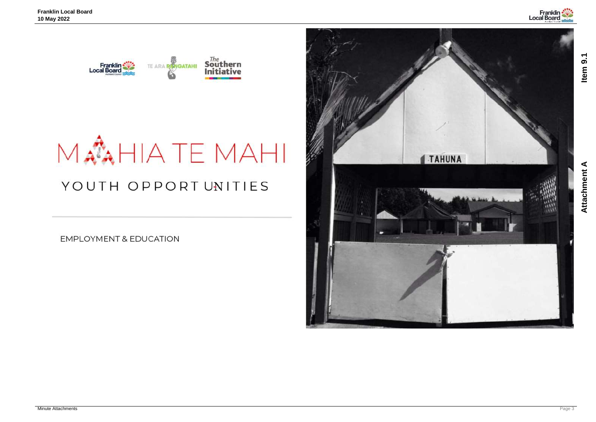<span id="page-2-0"></span>

# MANHIATE MAHI YOUTH OPPORTUNITIES

**EMPLOYMENT & EDUCATION** 



**Attachment A Item 9.1**Attachment A

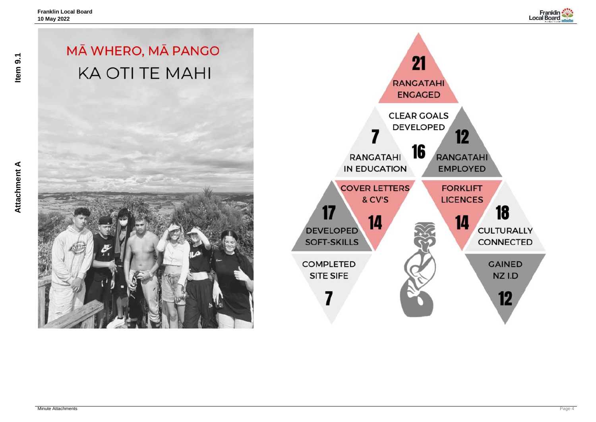# MĀ WHERO, MĀ PANGO **KA OTI TE MAHI**





Item 9.1

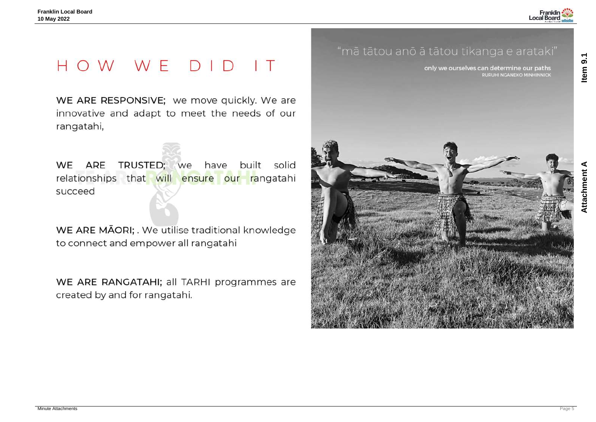# HOW WE DID IT

WE ARE RESPONSIVE; we move quickly. We are innovative and adapt to meet the needs of our rangatahi,

TRUSTED; we ARE built solid WE have relationships that will ensure our rangatahi succeed

WE ARE MĀORI; . We utilise traditional knowledge to connect and empower all rangatahi

WE ARE RANGATAHI; all TARHI programmes are created by and for rangatahi.

# "mā tātou anō ā tātou tikanga e arataki"



**Attachment A Item 9.1Attachment A** 



only we ourselves can determine our paths RURUHI NGANEKO MINHINNICK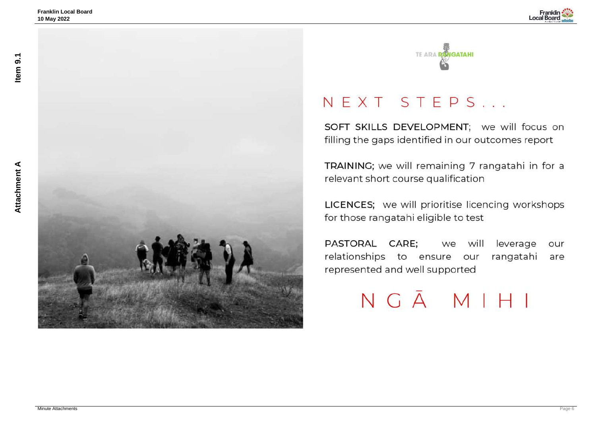



# NEXT STEPS...

SOFT SKILLS DEVELOPMENT; we will focus on filling the gaps identified in our outcomes report

TRAINING; we will remaining 7 rangatahi in for a relevant short course qualification

LICENCES; we will prioritise licencing workshops for those rangatahi eligible to test

leverage PASTORAL CARE; we will our relationships to ensure our rangatahi are represented and well supported



# NGĀMIHI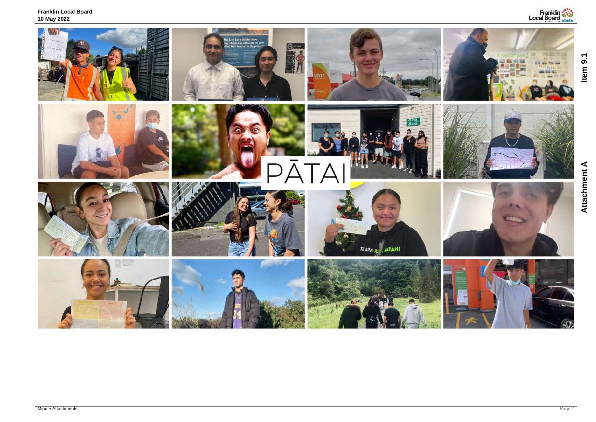**Franklin Local Board 10 May 2022**



# **Attachment A Item 9.1**Attachment A



# Item 9.1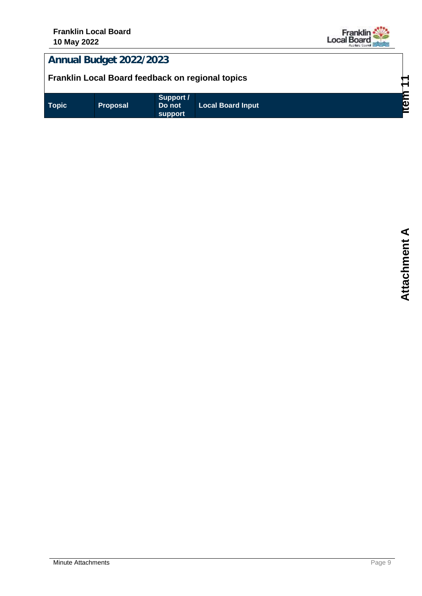

## <span id="page-8-0"></span>**Annual Budget 2022/2023**

## **Franklin Local Board feedback on regional topics**

| Support /<br>Topic<br><b>Local Board Input</b><br>Do not<br><b>Proposal</b><br>support | δ |
|----------------------------------------------------------------------------------------|---|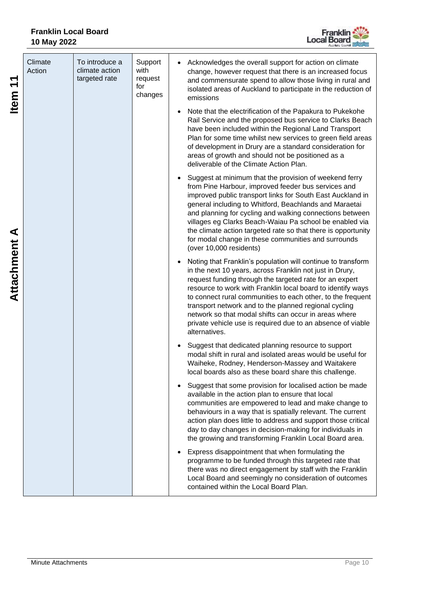

| $\blacktriangledown$<br><b>Item</b> | Climate<br>Action | To introduce a<br>climate action<br>targeted rate | Support<br>with<br>request<br>for<br>changes | Acknowledges the overall support for action on climate<br>change, however request that there is an increased focus<br>and commensurate spend to allow those living in rural and<br>isolated areas of Auckland to participate in the reduction of<br>emissions                                                                                                                                                                                                                                                       |
|-------------------------------------|-------------------|---------------------------------------------------|----------------------------------------------|---------------------------------------------------------------------------------------------------------------------------------------------------------------------------------------------------------------------------------------------------------------------------------------------------------------------------------------------------------------------------------------------------------------------------------------------------------------------------------------------------------------------|
|                                     |                   |                                                   |                                              | Note that the electrification of the Papakura to Pukekohe<br>Rail Service and the proposed bus service to Clarks Beach<br>have been included within the Regional Land Transport<br>Plan for some time whilst new services to green field areas<br>of development in Drury are a standard consideration for<br>areas of growth and should not be positioned as a<br>deliverable of the Climate Action Plan.                                                                                                          |
|                                     |                   |                                                   |                                              | Suggest at minimum that the provision of weekend ferry<br>from Pine Harbour, improved feeder bus services and<br>improved public transport links for South East Auckland in<br>general including to Whitford, Beachlands and Maraetai<br>and planning for cycling and walking connections between<br>villages eg Clarks Beach-Waiau Pa school be enabled via<br>the climate action targeted rate so that there is opportunity<br>for modal change in these communities and surrounds<br>(over 10,000 residents)     |
| <b>Attachment A</b>                 |                   |                                                   |                                              | Noting that Franklin's population will continue to transform<br>in the next 10 years, across Franklin not just in Drury,<br>request funding through the targeted rate for an expert<br>resource to work with Franklin local board to identify ways<br>to connect rural communities to each other, to the frequent<br>transport network and to the planned regional cycling<br>network so that modal shifts can occur in areas where<br>private vehicle use is required due to an absence of viable<br>alternatives. |
|                                     |                   |                                                   |                                              | Suggest that dedicated planning resource to support<br>modal shift in rural and isolated areas would be useful for<br>Waiheke, Rodney, Henderson-Massey and Waitakere<br>local boards also as these board share this challenge.                                                                                                                                                                                                                                                                                     |
|                                     |                   |                                                   |                                              | Suggest that some provision for localised action be made<br>available in the action plan to ensure that local<br>communities are empowered to lead and make change to<br>behaviours in a way that is spatially relevant. The current<br>action plan does little to address and support those critical<br>day to day changes in decision-making for individuals in<br>the growing and transforming Franklin Local Board area.                                                                                        |
|                                     |                   |                                                   |                                              | Express disappointment that when formulating the<br>programme to be funded through this targeted rate that<br>there was no direct engagement by staff with the Franklin<br>Local Board and seemingly no consideration of outcomes<br>contained within the Local Board Plan.                                                                                                                                                                                                                                         |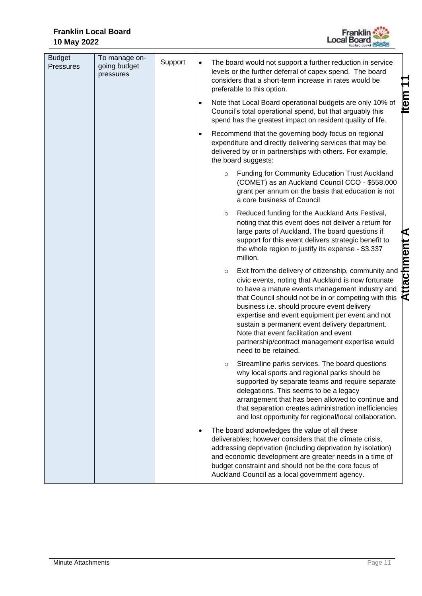

| <b>Budget</b><br><b>Pressures</b> | To manage on-<br>going budget<br>pressures | Support |         | The board would not support a further reduction in service<br>levels or the further deferral of capex spend. The board<br>considers that a short-term increase in rates would be<br>preferable to this option.                                                                                                                                                                                                                                                                                  |             |
|-----------------------------------|--------------------------------------------|---------|---------|-------------------------------------------------------------------------------------------------------------------------------------------------------------------------------------------------------------------------------------------------------------------------------------------------------------------------------------------------------------------------------------------------------------------------------------------------------------------------------------------------|-------------|
|                                   |                                            |         |         | Note that Local Board operational budgets are only 10% of<br>Council's total operational spend, but that arguably this<br>spend has the greatest impact on resident quality of life.                                                                                                                                                                                                                                                                                                            | <b>Item</b> |
|                                   |                                            |         |         | Recommend that the governing body focus on regional<br>expenditure and directly delivering services that may be<br>delivered by or in partnerships with others. For example,<br>the board suggests:                                                                                                                                                                                                                                                                                             |             |
|                                   |                                            |         | $\circ$ | <b>Funding for Community Education Trust Auckland</b><br>(COMET) as an Auckland Council CCO - \$558,000<br>grant per annum on the basis that education is not<br>a core business of Council                                                                                                                                                                                                                                                                                                     |             |
|                                   |                                            |         | $\circ$ | Reduced funding for the Auckland Arts Festival,<br>noting that this event does not deliver a return for<br>large parts of Auckland. The board questions if<br>support for this event delivers strategic benefit to<br>the whole region to justify its expense - \$3.337<br>million.                                                                                                                                                                                                             | ⋖           |
|                                   |                                            |         | $\circ$ | Exit from the delivery of citizenship, community and<br>civic events, noting that Auckland is now fortunate<br>to have a mature events management industry and<br>that Council should not be in or competing with this<br>business i.e. should procure event delivery<br>expertise and event equipment per event and not<br>sustain a permanent event delivery department.<br>Note that event facilitation and event<br>partnership/contract management expertise would<br>need to be retained. | Attachment  |
|                                   |                                            |         | O       | Streamline parks services. The board questions<br>why local sports and regional parks should be<br>supported by separate teams and require separate<br>delegations. This seems to be a legacy<br>arrangement that has been allowed to continue and<br>that separation creates administration inefficiencies<br>and lost opportunity for regional/local collaboration.                                                                                                                           |             |
|                                   |                                            |         |         | The board acknowledges the value of all these<br>deliverables; however considers that the climate crisis,<br>addressing deprivation (including deprivation by isolation)<br>and economic development are greater needs in a time of<br>budget constraint and should not be the core focus of<br>Auckland Council as a local government agency.                                                                                                                                                  |             |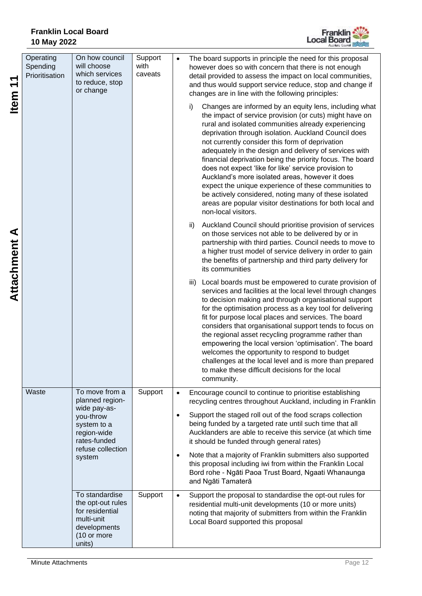

| ↽<br>$\blacktriangledown$<br><b>Item</b> | Operating<br>Spending<br>Prioritisation | On how council<br>will choose<br>which services<br>to reduce, stop<br>or change                               | Support<br>with<br>caveats | $\bullet$ | The board supports in principle the need for this proposal<br>however does so with concern that there is not enough<br>detail provided to assess the impact on local communities,<br>and thus would support service reduce, stop and change if<br>changes are in line with the following principles:                                                                                                                                                                                                                                                                                                                                                                                                                             |
|------------------------------------------|-----------------------------------------|---------------------------------------------------------------------------------------------------------------|----------------------------|-----------|----------------------------------------------------------------------------------------------------------------------------------------------------------------------------------------------------------------------------------------------------------------------------------------------------------------------------------------------------------------------------------------------------------------------------------------------------------------------------------------------------------------------------------------------------------------------------------------------------------------------------------------------------------------------------------------------------------------------------------|
|                                          |                                         |                                                                                                               |                            |           | Changes are informed by an equity lens, including what<br>i)<br>the impact of service provision (or cuts) might have on<br>rural and isolated communities already experiencing<br>deprivation through isolation. Auckland Council does<br>not currently consider this form of deprivation<br>adequately in the design and delivery of services with<br>financial deprivation being the priority focus. The board<br>does not expect 'like for like' service provision to<br>Auckland's more isolated areas, however it does<br>expect the unique experience of these communities to<br>be actively considered, noting many of these isolated<br>areas are popular visitor destinations for both local and<br>non-local visitors. |
| <b>Attachment A</b>                      |                                         |                                                                                                               |                            |           | Auckland Council should prioritise provision of services<br>ii)<br>on those services not able to be delivered by or in<br>partnership with third parties. Council needs to move to<br>a higher trust model of service delivery in order to gain<br>the benefits of partnership and third party delivery for<br>its communities                                                                                                                                                                                                                                                                                                                                                                                                   |
|                                          |                                         |                                                                                                               |                            |           | Local boards must be empowered to curate provision of<br>iii)<br>services and facilities at the local level through changes<br>to decision making and through organisational support<br>for the optimisation process as a key tool for delivering<br>fit for purpose local places and services. The board<br>considers that organisational support tends to focus on<br>the regional asset recycling programme rather than<br>empowering the local version 'optimisation'. The board<br>welcomes the opportunity to respond to budget<br>challenges at the local level and is more than prepared<br>to make these difficult decisions for the local<br>community.                                                                |
|                                          | Waste                                   | To move from a<br>planned region-                                                                             | Support                    | $\bullet$ | Encourage council to continue to prioritise establishing<br>recycling centres throughout Auckland, including in Franklin                                                                                                                                                                                                                                                                                                                                                                                                                                                                                                                                                                                                         |
|                                          |                                         | wide pay-as-<br>you-throw<br>system to a<br>region-wide<br>rates-funded                                       |                            | $\bullet$ | Support the staged roll out of the food scraps collection<br>being funded by a targeted rate until such time that all<br>Aucklanders are able to receive this service (at which time<br>it should be funded through general rates)                                                                                                                                                                                                                                                                                                                                                                                                                                                                                               |
|                                          |                                         | refuse collection<br>system                                                                                   |                            | $\bullet$ | Note that a majority of Franklin submitters also supported<br>this proposal including iwi from within the Franklin Local<br>Bord rohe - Ngāti Paoa Trust Board, Ngaati Whanaunga<br>and Ngāti Tamaterā                                                                                                                                                                                                                                                                                                                                                                                                                                                                                                                           |
|                                          |                                         | To standardise<br>the opt-out rules<br>for residential<br>multi-unit<br>developments<br>(10 or more<br>units) | Support                    | $\bullet$ | Support the proposal to standardise the opt-out rules for<br>residential multi-unit developments (10 or more units)<br>noting that majority of submitters from within the Franklin<br>Local Board supported this proposal                                                                                                                                                                                                                                                                                                                                                                                                                                                                                                        |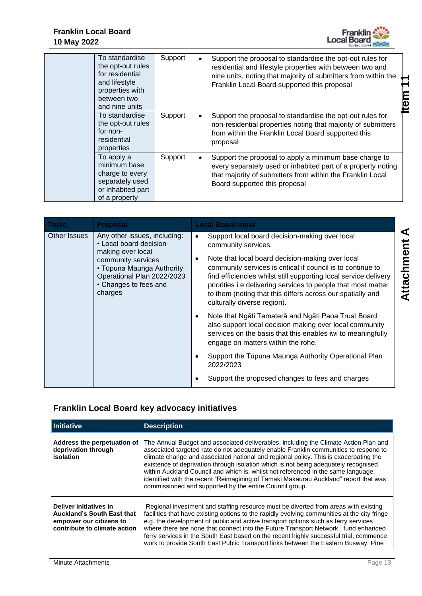

| To standardise<br>the opt-out rules<br>for residential<br>and lifestyle<br>properties with<br>between two<br>and nine units | Support | Support the proposal to standardise the opt-out rules for<br>residential and lifestyle properties with between two and<br>nine units, noting that majority of submitters from within the<br>Franklin Local Board supported this proposal |
|-----------------------------------------------------------------------------------------------------------------------------|---------|------------------------------------------------------------------------------------------------------------------------------------------------------------------------------------------------------------------------------------------|
| To standardise<br>the opt-out rules<br>for non-<br>residential<br>properties                                                | Support | Support the proposal to standardise the opt-out rules for<br>non-residential properties noting that majority of submitters<br>from within the Franklin Local Board supported this<br>proposal                                            |
| To apply a<br>minimum base<br>charge to every<br>separately used<br>or inhabited part<br>of a property                      | Support | Support the proposal to apply a minimum base charge to<br>$\bullet$<br>every separately used or inhabited part of a property noting<br>that majority of submitters from within the Franklin Local<br>Board supported this proposal       |

| <b>Topic</b> | <b>Proposal</b>                                                                                                                                                                                   |                        | <b>Local Board Input</b>                                                                                                                                                                                                                                                                                                                                                                                                   |
|--------------|---------------------------------------------------------------------------------------------------------------------------------------------------------------------------------------------------|------------------------|----------------------------------------------------------------------------------------------------------------------------------------------------------------------------------------------------------------------------------------------------------------------------------------------------------------------------------------------------------------------------------------------------------------------------|
| Other Issues | Any other issues, including:<br>• Local board decision-<br>making over local<br>community services<br>• Tūpuna Maunga Authority<br>Operational Plan 2022/2023<br>• Changes to fees and<br>charges | $\bullet$<br>$\bullet$ | Support local board decision-making over local<br>community services.<br>Note that local board decision-making over local<br>community services is critical if council is to continue to<br>find efficiencies whilst still supporting local service delivery<br>priorities i.e delivering services to people that most matter<br>to them (noting that this differs across our spatially and<br>culturally diverse region). |
|              |                                                                                                                                                                                                   | $\bullet$              | Note that Ngāti Tamaterā and Ngāti Paoa Trust Board<br>also support local decision making over local community<br>services on the basis that this enables iwi to meaningfully<br>engage on matters within the rohe.                                                                                                                                                                                                        |
|              |                                                                                                                                                                                                   | $\bullet$              | Support the Tūpuna Maunga Authority Operational Plan<br>2022/2023                                                                                                                                                                                                                                                                                                                                                          |
|              |                                                                                                                                                                                                   |                        | Support the proposed changes to fees and charges                                                                                                                                                                                                                                                                                                                                                                           |

## **Franklin Local Board key advocacy initiatives**

| <b>Initiative</b>                                                                                                      | <b>Description</b>                                                                                                                                                                                                                                                                                                                                                                                                                                                                                                                                                                                  |
|------------------------------------------------------------------------------------------------------------------------|-----------------------------------------------------------------------------------------------------------------------------------------------------------------------------------------------------------------------------------------------------------------------------------------------------------------------------------------------------------------------------------------------------------------------------------------------------------------------------------------------------------------------------------------------------------------------------------------------------|
| Address the perpetuation of<br>deprivation through<br>isolation                                                        | The Annual Budget and associated deliverables, including the Climate Action Plan and<br>associated targeted rate do not adequately enable Franklin communities to respond to<br>climate change and associated national and regional policy. This is exacerbating the<br>existence of deprivation through isolation which is not being adequately recognised<br>within Auckland Council and which is, whilst not referenced in the same language,<br>identified with the recent "Reimagining of Tamaki Makaurau Auckland" report that was<br>commissioned and supported by the entire Council group. |
| Deliver initiatives in<br><b>Auckland's South East that</b><br>empower our citizens to<br>contribute to climate action | Regional investment and staffing resource must be diverted from areas with existing<br>facilities that have existing options to the rapidly evolving communities at the city fringe<br>e.g. the development of public and active transport options such as ferry services<br>where there are none that connect into the Future Transport Network, fund enhanced<br>ferry services in the South East based on the recent highly successful trial, commence<br>work to provide South East Public Transport links between the Eastern Busway, Pine                                                     |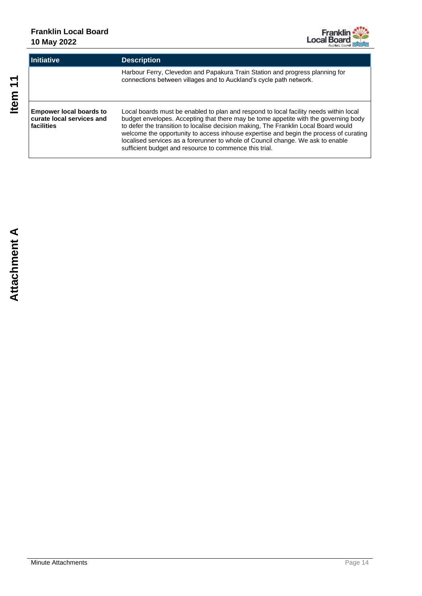

| <b>Initiative</b>                                                         | <b>Description</b>                                                                                                                                                                                                                                                                                                                                                                                                                                                                                        |
|---------------------------------------------------------------------------|-----------------------------------------------------------------------------------------------------------------------------------------------------------------------------------------------------------------------------------------------------------------------------------------------------------------------------------------------------------------------------------------------------------------------------------------------------------------------------------------------------------|
|                                                                           | Harbour Ferry, Clevedon and Papakura Train Station and progress planning for<br>connections between villages and to Auckland's cycle path network.                                                                                                                                                                                                                                                                                                                                                        |
| <b>Empower local boards to</b><br>curate local services and<br>facilities | Local boards must be enabled to plan and respond to local facility needs within local<br>budget envelopes. Accepting that there may be tome appetite with the governing body<br>to defer the transition to localise decision making, The Franklin Local Board would<br>welcome the opportunity to access inhouse expertise and begin the process of curating<br>localised services as a forerunner to whole of Council change. We ask to enable<br>sufficient budget and resource to commence this trial. |

Item<sub>11</sub>